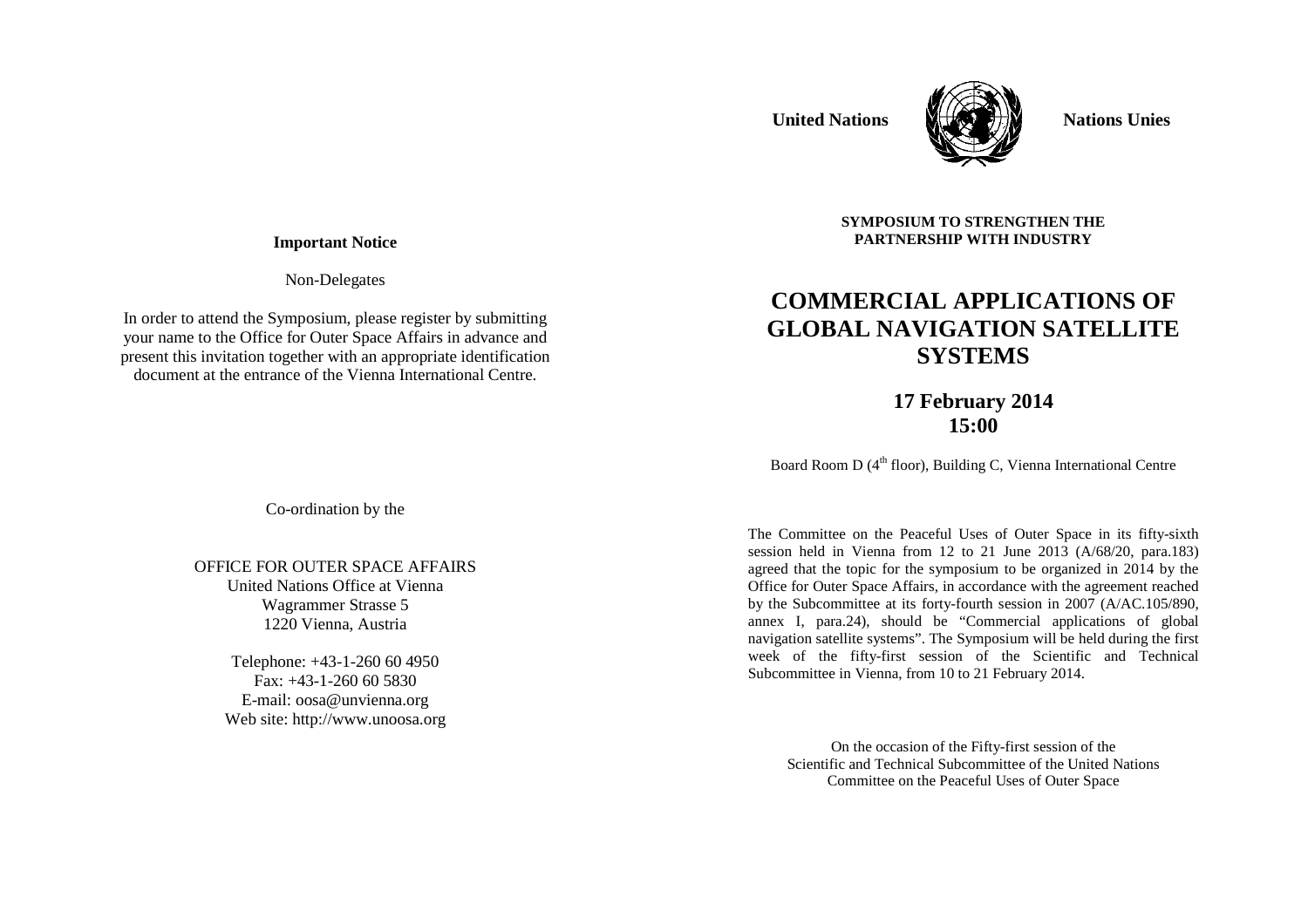# **United Nations MHACE THE Nations Unies**



**SYMPOSIUM TO STRENGTHEN THE PARTNERSHIP WITH INDUSTRY** 

**COMMERCIAL APPLICATIONS OF GLOBAL NAVIGATION SATELLITE SYSTEMS** 

### **Important Notice**

Non-Delegates

In order to attend the Symposium, please register by submitting your name to the Office for Outer Space Affairs in advance and present this invitation together with an appropriate identification document at the entrance of the Vienna International Centre.

> **17 February 2014 15:00**

Board Room D  $(4<sup>th</sup>$  floor), Building C, Vienna International Centre

The Committee on the Peaceful Uses of Outer Space in its fifty-sixth session held in Vienna from 12 to 21 June 2013 (A/68/20, para.183) agreed that the topic for the symposium to be organized in 2014 by the Office for Outer Space Affairs, in accordance with the agreement reached by the Subcommittee at its forty-fourth session in 2007 (A/AC.105/890, annex I, para.24), should be "Commercial applications of global navigation satellite systems". The Symposium will be held during the first week of the fifty-first session of the Scientific and Technical Subcommittee in Vienna, from 10 to 21 February 2014.

> On the occasion of the Fifty-first session of the Scientific and Technical Subcommittee of the United Nations Committee on the Peaceful Uses of Outer Space

Co-ordination by the

### OFFICE FOR OUTER SPACE AFFAIRS United Nations Office at Vienna Wagrammer Strasse 5 1220 Vienna, Austria

Telephone: +43-1-260 60 4950 Fax: +43-1-260 60 5830 E-mail: oosa@unvienna.org Web site: http://www.unoosa.org